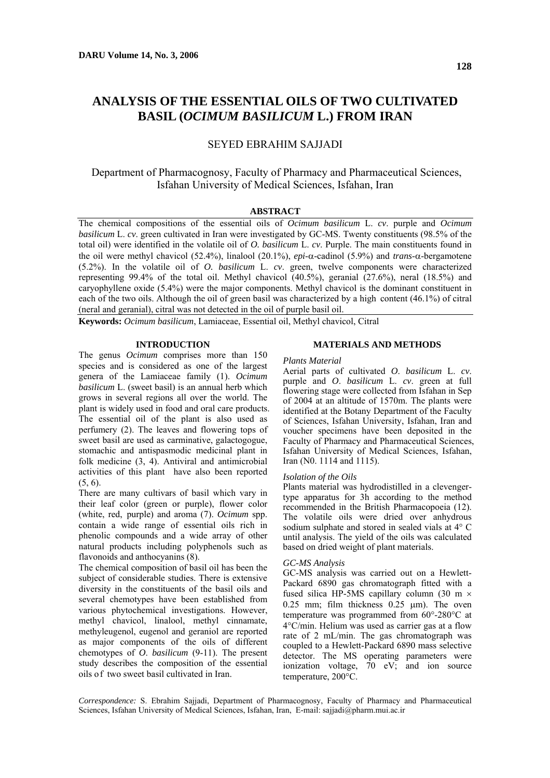# **ANALYSIS OF THE ESSENTIAL OILS OF TWO CULTIVATED BASIL (***OCIMUM BASILICUM* **L.) FROM IRAN**

# SEYED EBRAHIM SAJJADI

# Department of Pharmacognosy, Faculty of Pharmacy and Pharmaceutical Sciences, Isfahan University of Medical Sciences, Isfahan, Iran

#### **ABSTRACT**

The chemical compositions of the essential oils of *Ocimum basilicum* L. *cv*. purple and *Ocimum basilicum* L. *cv*. green cultivated in Iran were investigated by GC-MS. Twenty constituents (98.5% of the total oil) were identified in the volatile oil of *O. basilicum* L. *cv*. Purple. The main constituents found in the oil were methyl chavicol (52.4%), linalool (20.1%), *epi*-α-cadinol (5.9%) and *trans*-α-bergamotene (5.2%). In the volatile oil of *O. basilicum* L. *cv*. green, twelve components were characterized representing 99.4% of the total oil. Methyl chavicol (40.5%), geranial (27.6%), neral (18.5%) and caryophyllene oxide (5.4%) were the major components. Methyl chavicol is the dominant constituent in each of the two oils. Although the oil of green basil was characterized by a high content  $(46.1%)$  of citral (neral and geranial), citral was not detected in the oil of purple basil oil.

**Keywords:** *Ocimum basilicum*, Lamiaceae, Essential oil, Methyl chavicol, Citral

#### **INTRODUCTION**

The genus *Ocimum* comprises more than 150 species and is considered as one of the largest genera of the Lamiaceae family (1). *Ocimum basilicum* L. (sweet basil) is an annual herb which grows in several regions all over the world. The plant is widely used in food and oral care products. The essential oil of the plant is also used as perfumery (2). The leaves and flowering tops of sweet basil are used as carminative, galactogogue, stomachic and antispasmodic medicinal plant in folk medicine (3, 4). Antiviral and antimicrobial activities of this plant have also been reported (5, 6).

There are many cultivars of basil which vary in their leaf color (green or purple), flower color (white, red, purple) and aroma (7). *Ocimum* spp. contain a wide range of essential oils rich in phenolic compounds and a wide array of other natural products including polyphenols such as flavonoids and anthocyanins (8).

The chemical composition of basil oil has been the subject of considerable studies. There is extensive diversity in the constituents of the basil oils and several chemotypes have been established from various phytochemical investigations. However, methyl chavicol, linalool, methyl cinnamate, methyleugenol, eugenol and geraniol are reported as major components of the oils of different chemotypes of *O*. *basilicum* (9-11). The present study describes the composition of the essential oils of two sweet basil cultivated in Iran.

## **MATERIALS AND METHODS**

#### *Plants Material*

Aerial parts of cultivated *O*. *basilicum* L. *cv*. purple and *O*. *basilicum* L. *cv*. green at full flowering stage were collected from Isfahan in Sep of 2004 at an altitude of 1570m. The plants were identified at the Botany Department of the Faculty of Sciences, Isfahan University, Isfahan, Iran and voucher specimens have been deposited in the Faculty of Pharmacy and Pharmaceutical Sciences, Isfahan University of Medical Sciences, Isfahan, Iran (N0. 1114 and 1115).

#### *Isolation of the Oils*

Plants material was hydrodistilled in a clevengertype apparatus for 3h according to the method recommended in the British Pharmacopoeia (12). The volatile oils were dried over anhydrous sodium sulphate and stored in sealed vials at 4° C until analysis. The yield of the oils was calculated based on dried weight of plant materials.

#### *GC-MS Analysis*

GC-MS analysis was carried out on a Hewlett-Packard 6890 gas chromatograph fitted with a fused silica HP-5MS capillary column (30 m × 0.25 mm; film thickness 0.25 µm). The oven temperature was programmed from 60°-280°C at 4°C/min. Helium was used as carrier gas at a flow rate of 2 mL/min. The gas chromatograph was coupled to a Hewlett-Packard 6890 mass selective detector. The MS operating parameters were ionization voltage, 70 eV; and ion source temperature, 200°C.

*Correspondence:* S. Ebrahim Sajjadi, Department of Pharmacognosy, Faculty of Pharmacy and Pharmaceutical Sciences, Isfahan University of Medical Sciences, Isfahan, Iran, E-mail: sajjadi@pharm.mui.ac.ir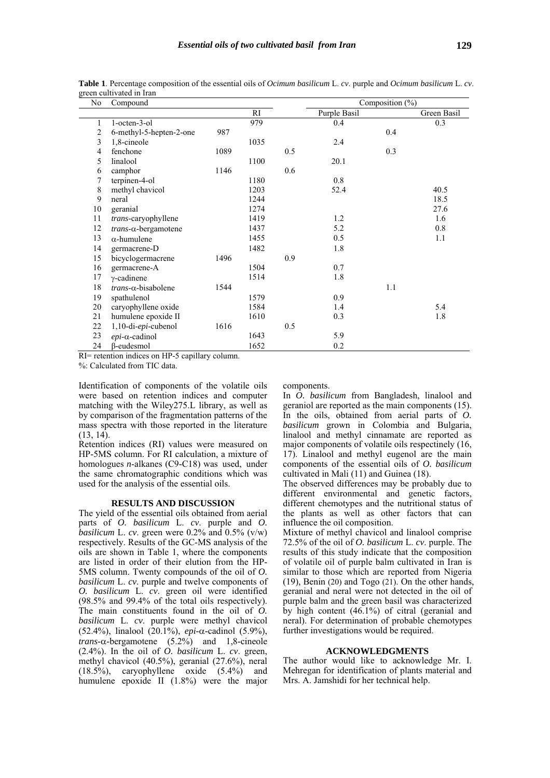| No             | Compound                                |              |           |     | Composition $\overline{(*)}$ |     |             |
|----------------|-----------------------------------------|--------------|-----------|-----|------------------------------|-----|-------------|
|                |                                         |              | <b>RI</b> |     | Purple Basil                 |     | Green Basil |
| 1              | 1-octen-3-ol                            |              | 979       |     | 0.4                          |     | 0.3         |
| $\overline{2}$ | 6-methyl-5-hepten-2-one                 | 987          |           |     |                              | 0.4 |             |
| 3              | 1,8-cineole                             |              | 1035      |     | 2.4                          |     |             |
| 4              | fenchone                                | 1089         |           | 0.5 |                              | 0.3 |             |
| 5              | linalool                                |              | 1100      |     | 20.1                         |     |             |
| 6              | camphor                                 | 1146         |           | 0.6 |                              |     |             |
| 7              | terpinen-4-ol                           |              | 1180      |     | 0.8                          |     |             |
| 8              | methyl chavicol                         |              | 1203      |     | 52.4                         |     | 40.5        |
| 9              | neral                                   |              | 1244      |     |                              |     | 18.5        |
| 10             | geranial                                |              | 1274      |     |                              |     | 27.6        |
| 11             | trans-caryophyllene                     |              | 1419      |     | 1.2                          |     | 1.6         |
| 12             | $trans-\alpha$ -bergamotene             |              | 1437      |     | 5.2                          |     | 0.8         |
| 13             | $\alpha$ -humulene                      |              | 1455      |     | 0.5                          |     | 1.1         |
| 14             | germacrene-D                            |              | 1482      |     | 1.8                          |     |             |
| 15             | bicyclogermacrene                       | 1496         |           | 0.9 |                              |     |             |
| 16             | germacrene-A                            |              | 1504      |     | 0.7                          |     |             |
| 17             | $\gamma$ -cadinene                      |              | 1514      |     | 1.8                          |     |             |
| 18             | $trans-\alpha$ -bisabolene              | 1544         |           |     |                              | 1.1 |             |
| 19             | spathulenol                             |              | 1579      |     | 0.9                          |     |             |
| 20             | caryophyllene oxide                     |              | 1584      |     | 1.4                          |     | 5.4         |
| 21             | humulene epoxide II                     |              | 1610      |     | 0.3                          |     | 1.8         |
| 22             | $1, 10$ -di- <i>epi</i> -cubenol        | 1616         |           | 0.5 |                              |     |             |
| 23             | $epi$ - $\alpha$ -cadinol               |              | 1643      |     | 5.9                          |     |             |
| 24             | $\beta$ -eudesmol                       |              | 1652      |     | 0.2                          |     |             |
| n T            | 111<br>$\cdot$ $\cdot$ $\cdot$<br>T T R | $\mathbf{1}$ |           |     |                              |     |             |

**Table 1**. Percentage composition of the essential oils of *Ocimum basilicum* L. *cv*. purple and *Ocimum basilicum* L. *cv*. green cultivated in Iran

RI= retention indices on HP-5 capillary column.

%: Calculated from TIC data.

Identification of components of the volatile oils were based on retention indices and computer matching with the Wiley275.L library, as well as by comparison of the fragmentation patterns of the mass spectra with those reported in the literature (13, 14).

Retention indices (RI) values were measured on HP-5MS column. For RI calculation, a mixture of homologues *n*-alkanes (C9-C18) was used, under the same chromatographic conditions which was used for the analysis of the essential oils.

#### **RESULTS AND DISCUSSION**

The yield of the essential oils obtained from aerial parts of *O. basilicum* L. *cv*. purple and *O. basilicum* L. *cv*. green were  $0.2\%$  and  $0.5\%$  (v/w) respectively. Results of the GC-MS analysis of the oils are shown in Table 1, where the components are listed in order of their elution from the HP-5MS column. Twenty compounds of the oil of *O. basilicum* L. *cv*. purple and twelve components of *O. basilicum* L. *cv*. green oil were identified (98.5% and 99.4% of the total oils respectively). The main constituents found in the oil of *O. basilicum* L. *cv*. purple were methyl chavicol (52.4%), linalool (20.1%), *epi*-α-cadinol (5.9%), *trans*-α-bergamotene (5.2%) and 1,8-cineole  $(2.4\%)$ . In the oil of  $\hat{O}$ . *basilicum* L. *cv.* green, methyl chavicol (40.5%), geranial (27.6%), neral (18.5%), caryophyllene oxide (5.4%) and humulene epoxide II (1.8%) were the major components.

In *O. basilicum* from Bangladesh, linalool and geraniol are reported as the main components (15). In the oils, obtained from aerial parts of *O. basilicum* grown in Colombia and Bulgaria, linalool and methyl cinnamate are reported as major components of volatile oils respectinely (16, 17). Linalool and methyl eugenol are the main components of the essential oils of *O. basilicum* cultivated in Mali (11) and Guinea (18).

The observed differences may be probably due to different environmental and genetic factors, different chemotypes and the nutritional status of the plants as well as other factors that can influence the oil composition.

Mixture of methyl chavicol and linalool comprise 72.5% of the oil of *O. basilicum* L. *cv*. purple. The results of this study indicate that the composition of volatile oil of purple balm cultivated in Iran is similar to those which are reported from Nigeria (19), Benin (20) and Togo (21). On the other hands, geranial and neral were not detected in the oil of purple balm and the green basil was characterized by high content (46.1%) of citral (geranial and neral). For determination of probable chemotypes further investigations would be required.

### **ACKNOWLEDGMENTS**

The author would like to acknowledge Mr. I. Mehregan for identification of plants material and Mrs. A. Jamshidi for her technical help.